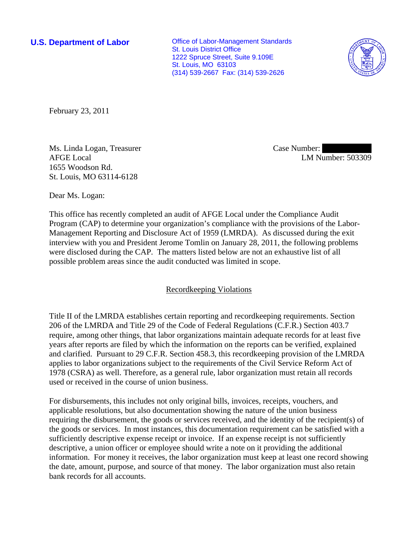**U.S. Department of Labor Conservative Conservative Conservative Conservative Conservative Conservative Conservative Conservative Conservative Conservative Conservative Conservative Conservative Conservative Conservative** St. Louis District Office 1222 Spruce Street, Suite 9.109E St. Louis, MO 63103 (314) 539-2667 Fax: (314) 539-2626



February 23, 2011

Ms. Linda Logan, Treasurer AFGE Local 1655 Woodson Rd. St. Louis, MO 63114-6128

Case Number: LM Number: 503309

Dear Ms. Logan:

This office has recently completed an audit of AFGE Local under the Compliance Audit Program (CAP) to determine your organization's compliance with the provisions of the Labor-Management Reporting and Disclosure Act of 1959 (LMRDA). As discussed during the exit interview with you and President Jerome Tomlin on January 28, 2011, the following problems were disclosed during the CAP. The matters listed below are not an exhaustive list of all possible problem areas since the audit conducted was limited in scope.

## Recordkeeping Violations

Title II of the LMRDA establishes certain reporting and recordkeeping requirements. Section 206 of the LMRDA and Title 29 of the Code of Federal Regulations (C.F.R.) Section 403.7 require, among other things, that labor organizations maintain adequate records for at least five years after reports are filed by which the information on the reports can be verified, explained and clarified. Pursuant to 29 C.F.R. Section 458.3, this recordkeeping provision of the LMRDA applies to labor organizations subject to the requirements of the Civil Service Reform Act of 1978 (CSRA) as well. Therefore, as a general rule, labor organization must retain all records used or received in the course of union business.

For disbursements, this includes not only original bills, invoices, receipts, vouchers, and applicable resolutions, but also documentation showing the nature of the union business requiring the disbursement, the goods or services received, and the identity of the recipient(s) of the goods or services. In most instances, this documentation requirement can be satisfied with a sufficiently descriptive expense receipt or invoice. If an expense receipt is not sufficiently descriptive, a union officer or employee should write a note on it providing the additional information. For money it receives, the labor organization must keep at least one record showing the date, amount, purpose, and source of that money. The labor organization must also retain bank records for all accounts.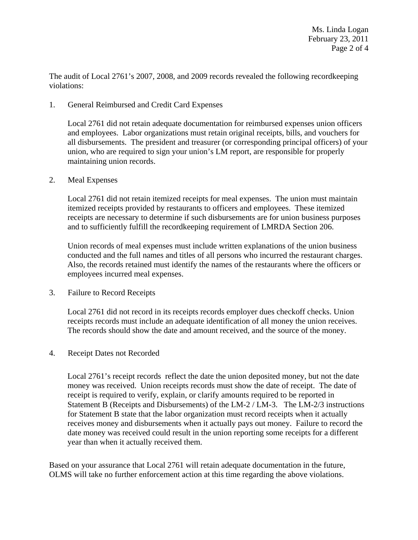The audit of Local 2761's 2007, 2008, and 2009 records revealed the following recordkeeping violations:

1. General Reimbursed and Credit Card Expenses

Local 2761 did not retain adequate documentation for reimbursed expenses union officers and employees. Labor organizations must retain original receipts, bills, and vouchers for all disbursements. The president and treasurer (or corresponding principal officers) of your union, who are required to sign your union's LM report, are responsible for properly maintaining union records.

2. Meal Expenses

Local 2761 did not retain itemized receipts for meal expenses. The union must maintain itemized receipts provided by restaurants to officers and employees. These itemized receipts are necessary to determine if such disbursements are for union business purposes and to sufficiently fulfill the recordkeeping requirement of LMRDA Section 206.

Union records of meal expenses must include written explanations of the union business conducted and the full names and titles of all persons who incurred the restaurant charges. Also, the records retained must identify the names of the restaurants where the officers or employees incurred meal expenses.

3. Failure to Record Receipts

Local 2761 did not record in its receipts records employer dues checkoff checks. Union receipts records must include an adequate identification of all money the union receives. The records should show the date and amount received, and the source of the money.

## 4. Receipt Dates not Recorded

Local 2761's receipt records reflect the date the union deposited money, but not the date money was received. Union receipts records must show the date of receipt. The date of receipt is required to verify, explain, or clarify amounts required to be reported in Statement B (Receipts and Disbursements) of the LM-2 / LM-3. The LM-2/3 instructions for Statement B state that the labor organization must record receipts when it actually receives money and disbursements when it actually pays out money. Failure to record the date money was received could result in the union reporting some receipts for a different year than when it actually received them.

Based on your assurance that Local 2761 will retain adequate documentation in the future, OLMS will take no further enforcement action at this time regarding the above violations.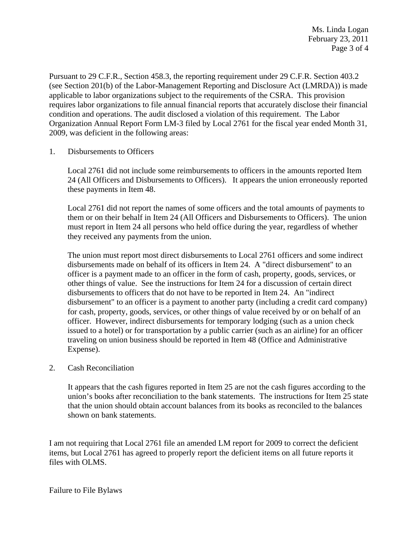Pursuant to 29 C.F.R., Section 458.3, the reporting requirement under 29 C.F.R. Section 403.2 (see Section 201(b) of the Labor-Management Reporting and Disclosure Act (LMRDA)) is made applicable to labor organizations subject to the requirements of the CSRA. This provision requires labor organizations to file annual financial reports that accurately disclose their financial condition and operations. The audit disclosed a violation of this requirement. The Labor Organization Annual Report Form LM-3 filed by Local 2761 for the fiscal year ended Month 31, 2009, was deficient in the following areas:

1. Disbursements to Officers

Local 2761 did not include some reimbursements to officers in the amounts reported Item 24 (All Officers and Disbursements to Officers). It appears the union erroneously reported these payments in Item 48.

Local 2761 did not report the names of some officers and the total amounts of payments to them or on their behalf in Item 24 (All Officers and Disbursements to Officers). The union must report in Item 24 all persons who held office during the year, regardless of whether they received any payments from the union.

The union must report most direct disbursements to Local 2761 officers and some indirect disbursements made on behalf of its officers in Item 24. A "direct disbursement" to an officer is a payment made to an officer in the form of cash, property, goods, services, or other things of value. See the instructions for Item 24 for a discussion of certain direct disbursements to officers that do not have to be reported in Item 24. An "indirect disbursement" to an officer is a payment to another party (including a credit card company) for cash, property, goods, services, or other things of value received by or on behalf of an officer. However, indirect disbursements for temporary lodging (such as a union check issued to a hotel) or for transportation by a public carrier (such as an airline) for an officer traveling on union business should be reported in Item 48 (Office and Administrative Expense).

## 2. Cash Reconciliation

It appears that the cash figures reported in Item 25 are not the cash figures according to the union's books after reconciliation to the bank statements. The instructions for Item 25 state that the union should obtain account balances from its books as reconciled to the balances shown on bank statements.

I am not requiring that Local 2761 file an amended LM report for 2009 to correct the deficient items, but Local 2761 has agreed to properly report the deficient items on all future reports it files with OLMS.